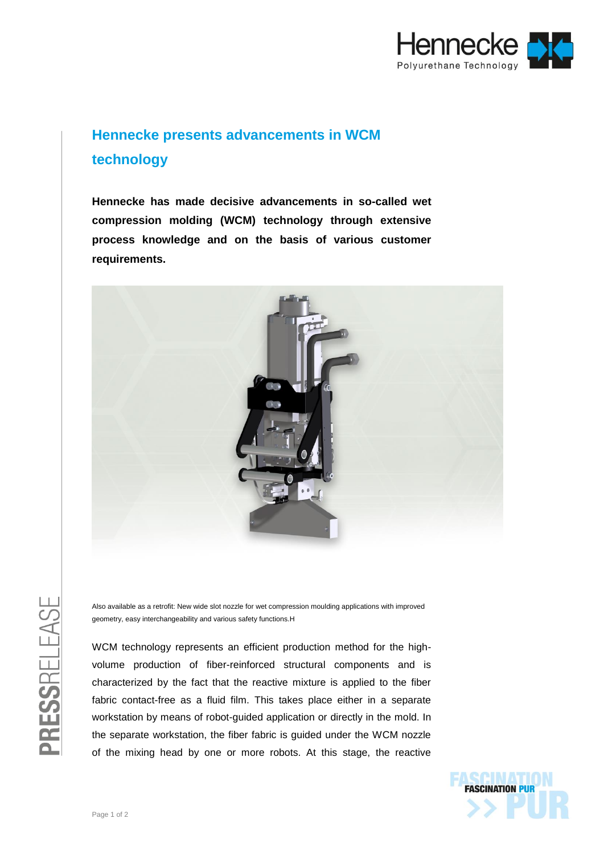

## **Hennecke presents advancements in WCM technology**

**Hennecke has made decisive advancements in so-called wet compression molding (WCM) technology through extensive process knowledge and on the basis of various customer requirements.**



Also available as a retrofit: New wide slot nozzle for wet compression moulding applications with improved geometry, easy interchangeability and various safety functions.H

WCM technology represents an efficient production method for the highvolume production of fiber-reinforced structural components and is characterized by the fact that the reactive mixture is applied to the fiber fabric contact-free as a fluid film. This takes place either in a separate workstation by means of robot-guided application or directly in the mold. In the separate workstation, the fiber fabric is guided under the WCM nozzle of the mixing head by one or more robots. At this stage, the reactive